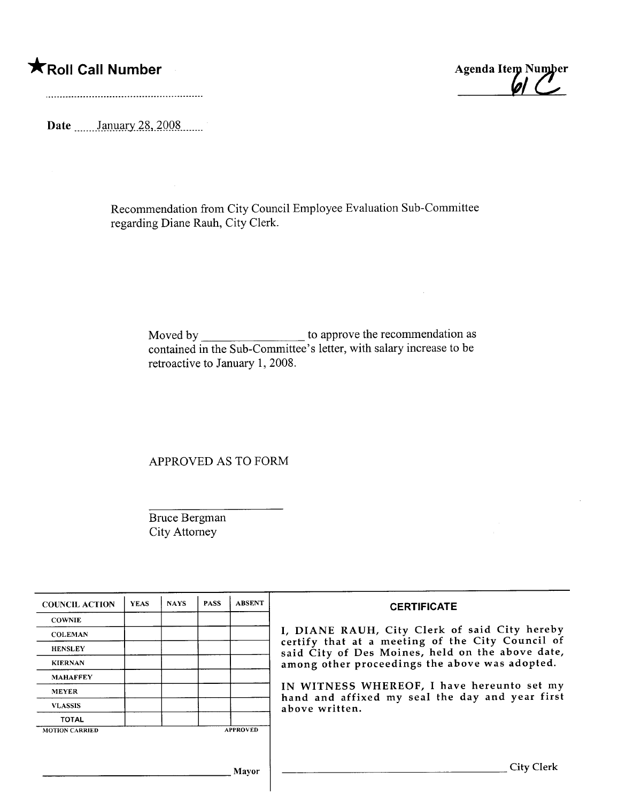\*Roll Call Number Agenda Item Number

Date \_\_\_\_\_\_January 28, 2008

Recommendation from City Council Employee Evaluation Sub-Committee regarding Diane Rauh, City Clerk.

> Moved by \_\_\_\_\_\_\_\_\_\_\_\_\_\_\_\_\_\_\_\_\_ to approve the recommendation as contained in the Sub-Committee's letter, with salary increase to be retroactive to January 1, 2008.

 $\hat{\mathcal{A}}$ 

APPROVED AS TO FORM

Bruce Bergman City Attorney

| <b>COUNCIL ACTION</b> | <b>YEAS</b> | <b>NAYS</b> | <b>PASS</b> | <b>ABSENT</b>   | <b>CERTIFICATE</b>                                                                                              |  |  |  |
|-----------------------|-------------|-------------|-------------|-----------------|-----------------------------------------------------------------------------------------------------------------|--|--|--|
| <b>COWNIE</b>         |             |             |             |                 |                                                                                                                 |  |  |  |
| <b>COLEMAN</b>        |             |             |             |                 | I, DIANE RAUH, City Clerk of said City hereby                                                                   |  |  |  |
| <b>HENSLEY</b>        |             |             |             |                 | certify that at a meeting of the City Council of<br>said City of Des Moines, held on the above date,            |  |  |  |
| <b>KIERNAN</b>        |             |             |             |                 | among other proceedings the above was adopted.                                                                  |  |  |  |
| <b>MAHAFFEY</b>       |             |             |             |                 |                                                                                                                 |  |  |  |
| <b>MEYER</b>          |             |             |             |                 | IN WITNESS WHEREOF, I have hereunto set my<br>hand and affixed my seal the day and year first<br>above written. |  |  |  |
| <b>VLASSIS</b>        |             |             |             |                 |                                                                                                                 |  |  |  |
| <b>TOTAL</b>          |             |             |             |                 |                                                                                                                 |  |  |  |
| <b>MOTION CARRIED</b> |             |             |             | <b>APPROVED</b> |                                                                                                                 |  |  |  |
|                       |             |             |             |                 |                                                                                                                 |  |  |  |
|                       |             |             |             | <b>Mavor</b>    | <b>City Clerk</b>                                                                                               |  |  |  |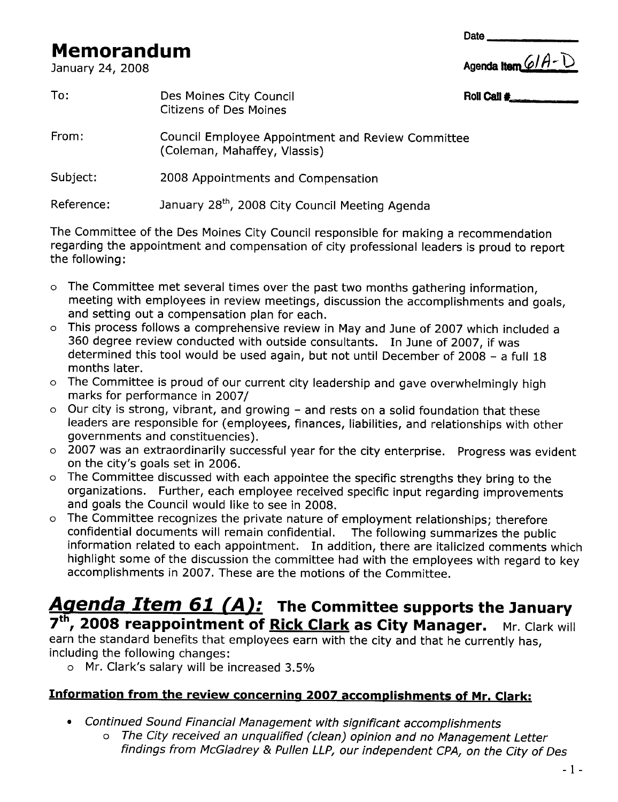# **Memorandum**<br>January 24, 2008

| Agenda Item 6/A-D |  |  |
|-------------------|--|--|

**Date** 

| To:        | Des Moines City Council<br><b>Citizens of Des Moines</b>                          | Roll Call # |
|------------|-----------------------------------------------------------------------------------|-------------|
| From:      | Council Employee Appointment and Review Committee<br>(Coleman, Mahaffey, Vlassis) |             |
| Subject:   | 2008 Appointments and Compensation                                                |             |
| Reference: | January 28 <sup>th</sup> , 2008 City Council Meeting Agenda                       |             |

The Committee of the Des Moines City Council responsible for making a recommendation regarding the appointment and compensation of city professional leaders is proud to report the following:

- $\circ$  The Committee met several times over the past two months gathering information, meeting with employees in review meetings, discussion the accomplishments and goals, and setting out a compensation plan for each.
- a This process follows a comprehensive review in May and June of 2007 which included a 360 degree review conducted with outside consultants. In June of 2007, if was determined this tool would be used again, but not until December of 2008 - a full 18 months later.
- o The Committee is proud of our current city leadership and gave overwhelmingly high marks for performance in 2007/
- o Our city is strong, vibrant, and growing and rests on a solid foundation that these leaders are responsible for (employees, finances, liabilities, and relationships with other governments and constituencies).
- o 2007 was an extraordinarily successful year for the city enterprise. Progress was evident on the city's goals set in 2006.
- a The Committee discussed with each appointee the specific strengths they bring to the organizations. Further, each employee received specific input regarding improvements and goals the Council would like to see in 2008.
- a The Committee recognizes the private nature of employment relationships; therefore confidential documents will remain confidential. The following summarizes the public information related to each appointment. In addition, there are italicized comments which highlight some of the discussion the committee had with the employees with regard to key accomplishments in 2007. These are the motions of the Committee.

# Agenda Item 61 (A): The Committee supports the January 7<sup>th</sup>, 2008 reappointment of Rick Clark as City Manager. Mr. Clark will

earn the standard benefits that employees earn with the city and that he currently has, including the following changes:

a Mr. Clark's salary will be increased 3.5%

#### Information from the review concerning 2007 accomplishments of Mr. Clark:

- · Continued Sound Financial Management with significant accomplishments
	- a The City received an unqualified (clean) opinion and no Management Letter findings from McGladrey & Pullen LLP, our independent CPA, on the City of Des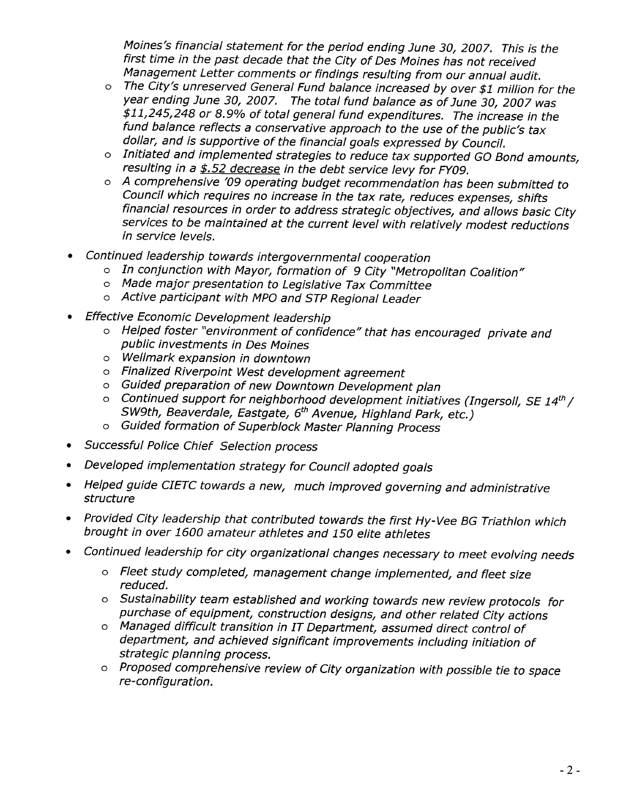Moines's financial statement for the period ending June 30, 2007. This is the first time in the past decade that the City of Des Moines has not received Management Letter comments or findings resulting from our annual audit.

- o The City's unreserved General Fund balance increased by over \$1 million for the year ending June 30, 2007. The total fund balance as of June 30, 2007 was \$11,245,248 or 8.9% of total general fund expenditures. The increase in the fund balance reflects a conservative approach to the use of the public's tax dollar, and is supportive of the financial goals expressed by Council.
- a Initiated and implemented strategies to reduce tax supported GO Bond amounts, resulting in a \$.52 decrease in the debt service levy for FY09.
- a A comprehensive '09 operating budget recommendation has been submitted to Council which requires no increase in the tax rate, reduces expenses, shifts financial resources in order to address strategic objectives, and allows basic City services to be maintained at the current level with relatively modest reductions in service levels.
- Continued leadership towards intergovernmental cooperation
	- o In conjunction with Mayor, formation of 9 City "Metropolitan Coalition"
	- a Made major presentation to Legislative Tax Committee
	- o Active participant with MPO and STP Regional Leader
- **Effective Economic Development leadership** 
	- a Helped foster "environment of confidence" that has encouraged private and public investments in Des Moines
	- a Wellmark expansion in downtown
	- a Finalized Riverpoint West development agreement
	- a Guided preparation of new Downtown Development plan
	- $\circ$  Continued support for neighborhood development initiatives (Ingersoll, SE 14th / SW9th, Beaverdale, Eastgate, 6<sup>th</sup> Avenue, Highland Park, etc.)
	- a Guided formation of Superblock Master Planning Process
- Successful Police Chief Selection process
- Developed implementation strategy for Council adopted goals
- · Helped guide CIETC towards a new, much improved governing and administrative structure
- · Provided City leadership that contributed towards the first Hy- Vee BG Triathlon which brought in over 1600 amateur athletes and 150 elite athletes
- Continued leadership for city organizational changes necessary to meet evolving needs
	- a Fleet study completed, management change implemented, and fleet size reduced.
	- a Sustainabilty team established and working towards new review protocols for purchase of equipment, construction designs, and other related City actions
	- a Managed difficult transition in IT Department, assumed direct control of department, and achieved significant improvements including initiation of strategic planning process.
	- a Proposed comprehensive review of City organization with possible tie to space re-configuration.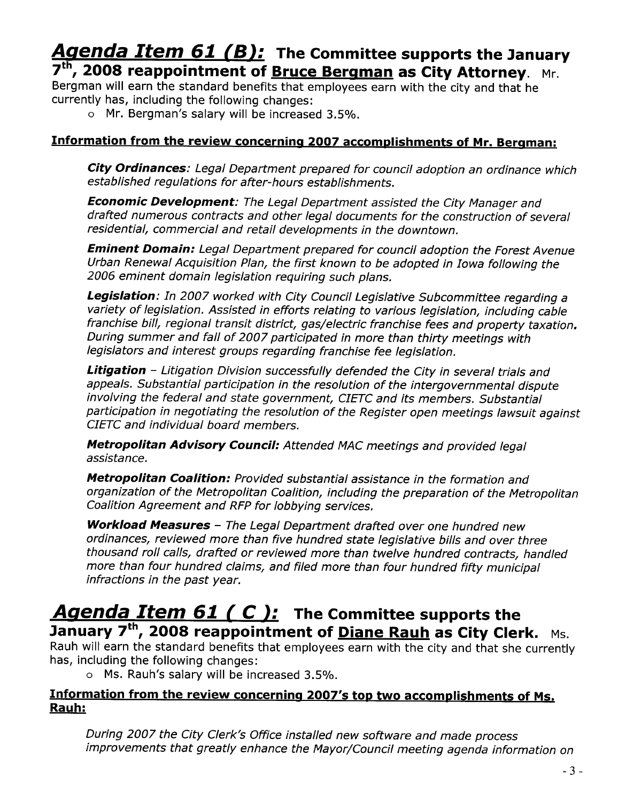# Agenda Item 61 (B): The Committee supports the January 7<sup>th</sup>, 2008 reappointment of **Bruce Bergman as City Attorney**. Mr.

Bergman will earn the standard benefits that employees earn with the city and that he currently has, including the following changes:

o Mr. Bergman's salary will be increased 3.5%.

#### Information from the review concerning 2007 accomplishments of Mr. Bergman:

City Ordinances: Legal Department prepared for council adoption an ordinance which established regulations for after-hours establishments.

Economic Development: The Legal Department assisted the City Manager and drafted numerous contracts and other legal documents for the construction of several residential, commercial and retail developments in the downtown.

**Eminent Domain:** Legal Department prepared for council adoption the Forest Avenue Urban Renewal Acquisition Plan, the first known to be adopted in Iowa following the 2006 eminent domain legislation requiring such plans.

Legislation: In 2007 worked with City Council Legislative Subcommittee regarding a variety of legislation. Assisted in efforts relating to various legislation, including cable franchise bil, regional transit district, gas/electric franchise fees and property taxation. During summer and fall of 2007 participated in more than thirty meetings with legislators and interest groups regarding franchise fee legislation.

Litigation - Litigation Division successfully defended the City in several trials and appeals. Substantial participation in the resolution of the intergovernmental dispute involving the federal and state government, CIETC and its members. Substantial participation in negotiating the resolution of the Register open meetings lawsuit against CIETC and individual board members.

Metropolitan Advisory Council: Attended MAC meetings and provided legal assistance.

**Metropolitan Coalition:** Provided substantial assistance in the formation and organization of the Metropolitan Coalition, including the preparation of the Metropolitan Coalition Agreement and RFP for lobbying services.

Workload Measures - The Legal Department drafted over one hundred new ordinances, reviewed more than five hundred state legislative bills and over three thousand roll calls, drafted or reviewed more than twelve hundred contracts, handled more than four hundred claims, and fied more than four hundred fifty municipal infractions in the past year.

# Agenda Item 61 ( $C$ ): The Committee supports the January 7<sup>th</sup>, 2008 reappointment of **Diane Rauh as City Clerk.** Ms.

Rauh will earn the standard benefits that employees earn with the city and that she currently has, including the following changes:

o Ms. Rauh's salary will be increased 3.5%.

#### Information from the review concerning 2007's top two accomplishments of Ms. Rauh:

During 2007 the City Clerk's Office installed new software and made process improvements that greatly enhance the Mayor/Council meeting agenda information on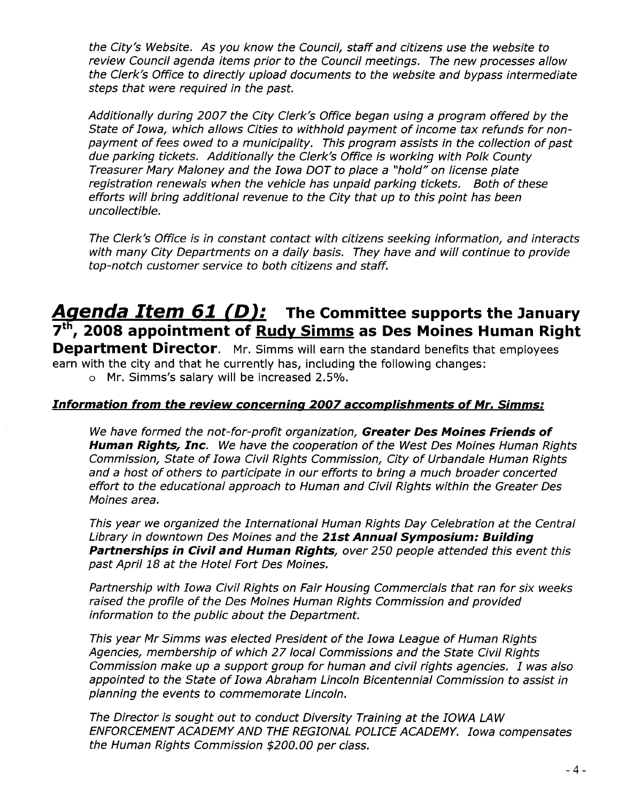the City's Website. As you know the Council, staff and citizens use the website to review Council agenda items prior to the Council meetings. The new processes allow the Clerk's Office to directly upload documents to the website and bypass intermediate steps that were required in the past.

Additionally during 2007 the City Clerk's Office began using a program offered by the State of Iowa, which allows Cities to withhold payment of income tax refunds for nonpayment of fees owed to a municipality. This program assists in the collection of past due parking tickets. Additionally the Clerk's Office is working with Polk County Treasurer Mary Maloney and the Iowa DOT to place a "hold" on license plate registration renewals when the vehicle has unpaid parking tickets. Both of these efforts will bring additional revenue to the City that up to this point has been uncollectible.

The Clerk's Office is in constant contact with citizens seeking information, and interacts with many City Departments on a daily basis. They have and will continue to provide top-notch customer service to both citizens and staff.

# Agenda Item of (D): The Committee supports the January 7<sup>th</sup>, 2008 appointment of <u>Rudy Simms</u> as Des Moines Human Right

**Department Director.** Mr. Simms will earn the standard benefits that employees earn with the city and that he currently has, including the following changes:

o Mr. Simms's salary will be increased 2.5%.

#### Information from the review concernina 2007 accomolishments of Mr. Simms:

We have formed the not-for-profit organization, Greater Des Moines Friends of **Human Rights, Inc.** We have the cooperation of the West Des Moines Human Rights Commission, State of Iowa Civil Rights Commission, City of Urbandale Human Rights and a host of others to participate in our efforts to bring a much broader concerted effort to the educational approach to Human and Civil Rights within the Greater Des Moines area.

This year we organized the International Human Rights Day Celebration at the Central Library in downtown Des Moines and the 21st Annual Symposium: Building Partnerships in Civil and Human Rights, over 250 people attended this event this past April 18 at the Hotel Fort Des Moines.

Partnership with Iowa Civil Rights on Fair Housing Commercials that ran for six weeks raised the profile of the Des Moines Human Rights Commission and provided information to the public about the Department.

This year Mr Simms was elected President of the Iowa League of Human Rights Agencies, membership of which 27 local Commissions and the State Civil Rights Commission make up a support group for human and civil rights agencies. I was also appointed to the State of Iowa Abraham Lincoln Bicentennial Commission to assist in planning the events to commemorate Lincoln.

The Director is sought out to conduct Diversity Training at the IOWA LAW ENFORCEMENT ACADEMY AND THE REGIONAL POLICE ACADEMY. Iowa compensates the Human Rights Commission \$200.00 per class.